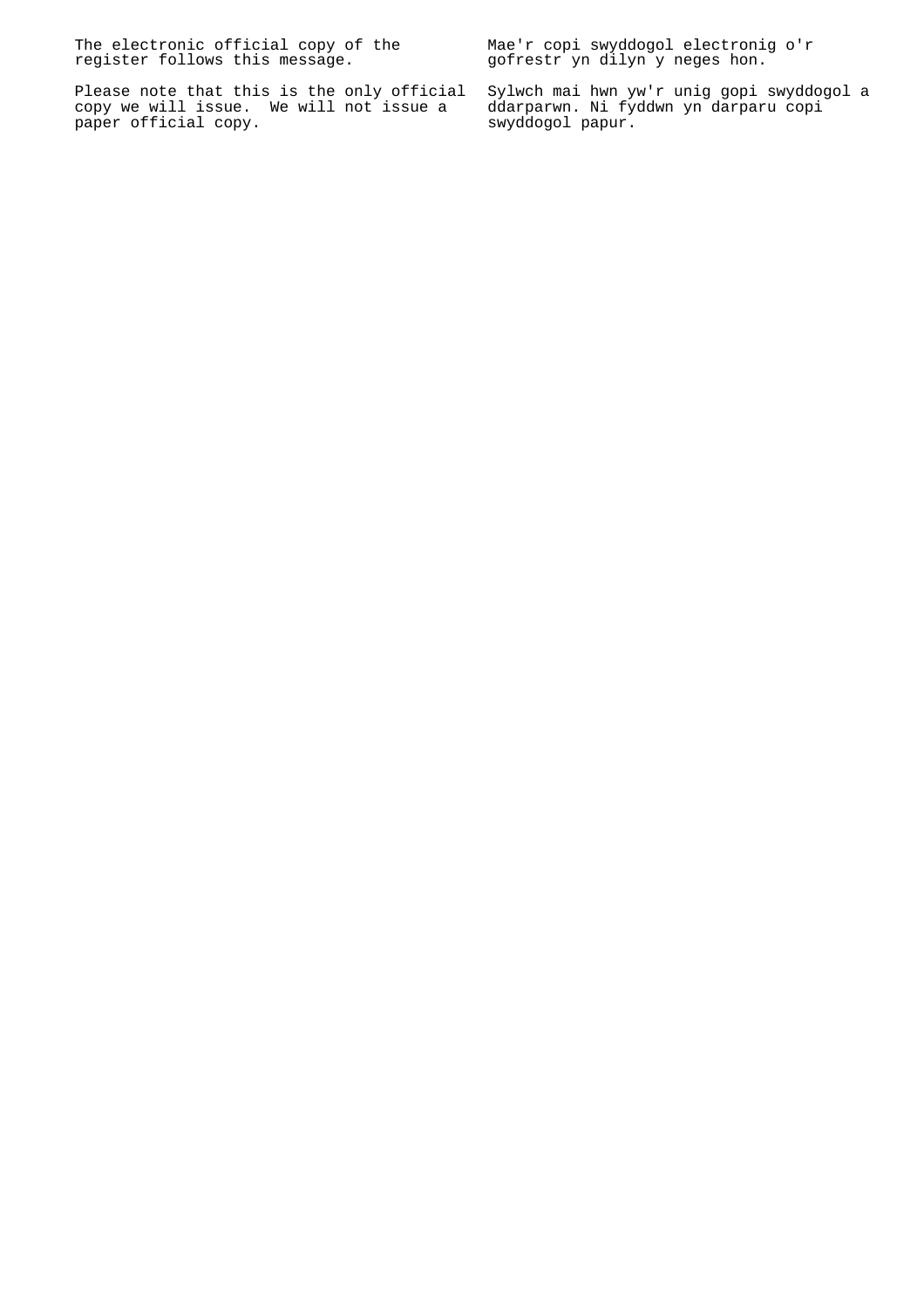The electronic official copy of the register follows this message.

Please note that this is the only official copy we will issue. We will not issue a paper official copy.

Mae'r copi swyddogol electronig o'r gofrestr yn dilyn y neges hon.

Sylwch mai hwn yw'r unig gopi swyddogol a ddarparwn. Ni fyddwn yn darparu copi swyddogol papur.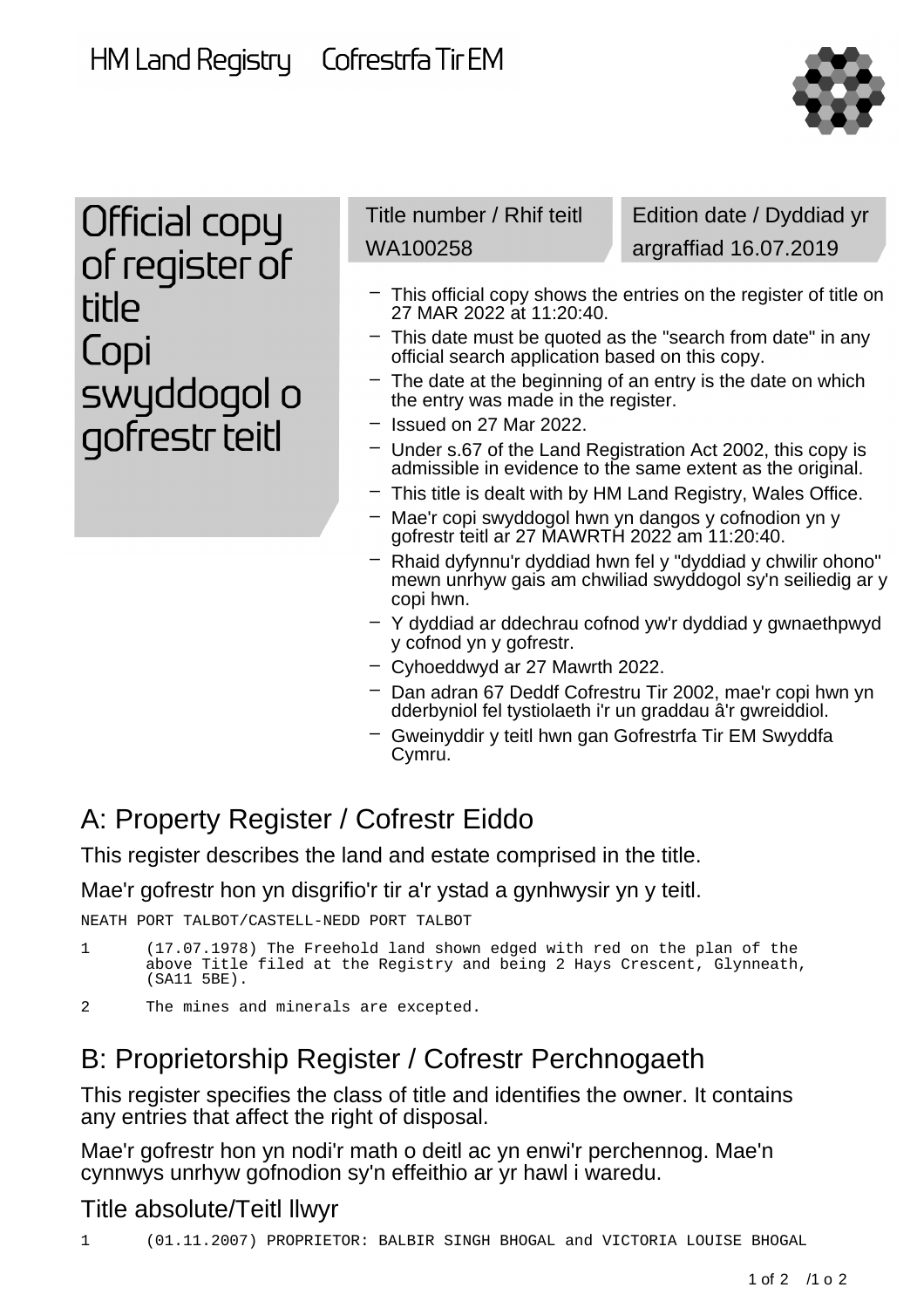HM Land Registry

Cofrestrfa Tir EM



Official copy of register of title Copi swyddogol o gofrestr teitl

Title number / Rhif teitl WA100258

Edition date / Dyddiad yr argraffiad 16.07.2019

- This official copy shows the entries on the register of title on 27 MAR 2022 at 11:20:40.
- This date must be quoted as the "search from date" in any official search application based on this copy.
- The date at the beginning of an entry is the date on which the entry was made in the register.
- Issued on 27 Mar 2022.
- Under s.67 of the Land Registration Act 2002, this copy is admissible in evidence to the same extent as the original.
- This title is dealt with by HM Land Registry, Wales Office.
- Mae'r copi swyddogol hwn yn dangos y cofnodion yn y gofrestr teitl ar 27 MAWRTH 2022 am 11:20:40.
- Rhaid dyfynnu'r dyddiad hwn fel y "dyddiad y chwilir ohono" mewn unrhyw gais am chwiliad swyddogol sy'n seiliedig ar y copi hwn.
- Y dyddiad ar ddechrau cofnod yw'r dyddiad y gwnaethpwyd y cofnod yn y gofrestr.
- Cyhoeddwyd ar 27 Mawrth 2022.
- Dan adran 67 Deddf Cofrestru Tir 2002, mae'r copi hwn yn dderbyniol fel tystiolaeth i'r un graddau â'r gwreiddiol.
- Gweinyddir y teitl hwn gan Gofrestrfa Tir EM Swyddfa Cymru.

## A: Property Register / Cofrestr Eiddo

This register describes the land and estate comprised in the title.

Mae'r gofrestr hon yn disgrifio'r tir a'r ystad a gynhwysir yn y teitl.

NEATH PORT TALBOT/CASTELL-NEDD PORT TALBOT

```
1 (17.07.1978) The Freehold land shown edged with red on the plan of the
above Title filed at the Registry and being 2 Hays Crescent, Glynneath,
(SA11 5BE).
```
2 The mines and minerals are excepted.

### B: Proprietorship Register / Cofrestr Perchnogaeth

This register specifies the class of title and identifies the owner. It contains any entries that affect the right of disposal.

Mae'r gofrestr hon yn nodi'r math o deitl ac yn enwi'r perchennog. Mae'n cynnwys unrhyw gofnodion sy'n effeithio ar yr hawl i waredu.

### Title absolute/Teitl llwyr

1 (01.11.2007) PROPRIETOR: BALBIR SINGH BHOGAL and VICTORIA LOUISE BHOGAL